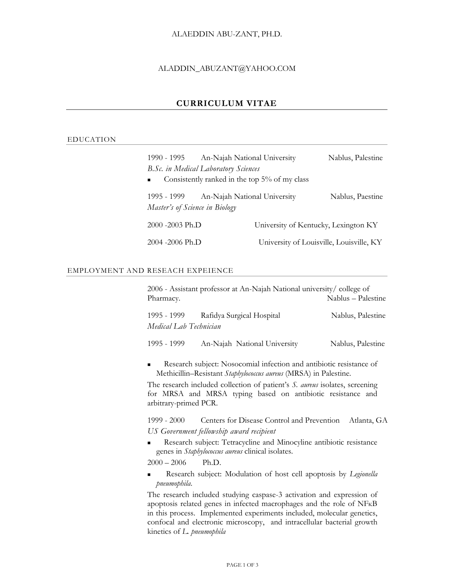## ALAEDDIN ABU-ZANT, PH.D.

### ALADDIN\_ABUZANT@YAHOO.COM

# **[CURRICULUM VITAE](http://jobsearch.about.com/od/curriculumvitae/)**

## EDUCATION

| 1990 - 1995                                                     | An-Najah National University             | Nablus, Palestine |  |  |  |
|-----------------------------------------------------------------|------------------------------------------|-------------------|--|--|--|
| B.Sc. in Medical Laboratory Sciences                            |                                          |                   |  |  |  |
| Consistently ranked in the top 5% of my class<br>$\blacksquare$ |                                          |                   |  |  |  |
| 1995 - 1999<br>Master's of Science in Biology                   | An-Najah National University             | Nablus, Paestine  |  |  |  |
| 2000 -2003 Ph.D                                                 | University of Kentucky, Lexington KY     |                   |  |  |  |
| 2004 -2006 Ph.D                                                 | University of Louisville, Louisville, KY |                   |  |  |  |

## EMPLOYMENT AND RESEACH EXPEIENCE

|                                       | 2006 - Assistant professor at An-Najah National university/college of |                    |
|---------------------------------------|-----------------------------------------------------------------------|--------------------|
| Pharmacy.                             |                                                                       | Nablus - Palestine |
| 1995 - 1999<br>Medical Lab Technician | Rafidya Surgical Hospital                                             | Nablus, Palestine  |
| 1995 - 1999                           | An-Najah National University                                          | Nablus, Palestine  |

**Research subject:** Nosocomial infection and antibiotic resistance of Methicillin–Resistant *Staphylococcus aureus* (MRSA) in Palestine.

The research included collection of patient's *S. aureus* isolates, screening for MRSA and MRSA typing based on antibiotic resistance and arbitrary-primed PCR.

1999 - 2000 Centers for Disease Control and Prevention Atlanta, GA *US Government fellowship award recipient*

 Research subject: Tetracycline and Minocyline antibiotic resistance genes in *Staphylococcus aureus* clinical isolates.

 $2000 - 2006$  Ph.D.

 Research subject: Modulation of host cell apoptosis by *Legionella pneumophila*.

The research included studying caspase-3 activation and expression of apoptosis related genes in infected macrophages and the role of NFĸB in this process. Implemented experiments included, molecular genetics, confocal and electronic microscopy, and intracellular bacterial growth kinetics of *L. pneumophila*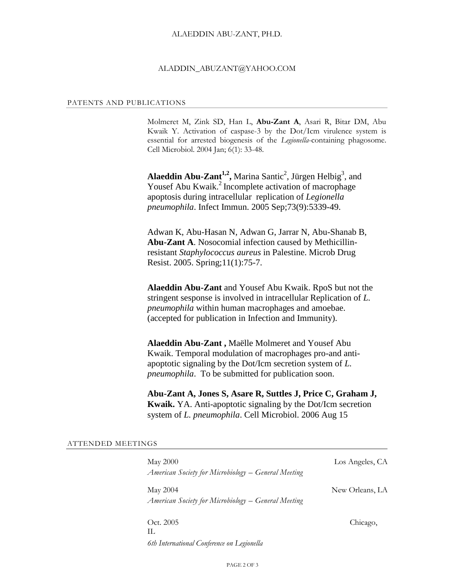#### ALAEDDIN ABU-ZANT, PH.D.

#### ALADDIN\_ABUZANT@YAHOO.COM

#### PATENTS AND PUBLICATIONS

Molmeret M, Zink SD, Han L, **Abu-Zant A**, Asari R, Bitar DM, Abu Kwaik Y. Activation of caspase-3 by the Dot/Icm virulence system is essential for arrested biogenesis of the *Legionella*-containing phagosome. Cell Microbiol. 2004 Jan; 6(1): 33-48.

Alaeddin Abu-Zant<sup>1,2</sup>, Marina Santic<sup>2</sup>, Jürgen Helbig<sup>3</sup>, and Yousef Abu Kwaik.<sup>2</sup> Incomplete activation of macrophage apoptosis during intracellular replication of *Legionella pneumophila*. Infect Immun. 2005 Sep;73(9):5339-49.

Adwan K, [Abu-Hasan N,](http://www.ncbi.nlm.nih.gov/entrez/query.fcgi?db=pubmed&cmd=Search&term=%22Abu%2DHasan+N%22%5BAuthor%5D) [Adwan G,](http://www.ncbi.nlm.nih.gov/entrez/query.fcgi?db=pubmed&cmd=Search&term=%22Adwan+G%22%5BAuthor%5D) [Jarrar N,](http://www.ncbi.nlm.nih.gov/entrez/query.fcgi?db=pubmed&cmd=Search&term=%22Jarrar+N%22%5BAuthor%5D) [Abu-Shanab B,](http://www.ncbi.nlm.nih.gov/entrez/query.fcgi?db=pubmed&cmd=Search&term=%22Abu%2DShanab+B%22%5BAuthor%5D) **[Abu-Zant A](http://www.ncbi.nlm.nih.gov/entrez/query.fcgi?db=pubmed&cmd=Search&term=%22Abu%2DZant+A%22%5BAuthor%5D)**. Nosocomial infection caused by Methicillinresistant *Staphylococcus aureus* in Palestine. Microb Drug Resist. 2005. Spring;11(1):75-7.

**Alaeddin Abu-Zant** and Yousef Abu Kwaik. RpoS but not the stringent sesponse is involved in intracellular Replication of *L. pneumophila* within human macrophages and amoebae. (accepted for publication in Infection and Immunity).

**Alaeddin Abu-Zant ,** Maëlle Molmeret and Yousef Abu Kwaik. Temporal modulation of macrophages pro-and antiapoptotic signaling by the Dot/Icm secretion system of *L. pneumophila*. To be submitted for publication soon.

**Abu-Zant A, Jones S, Asare R, Suttles J, Price C, Graham J, Kwaik.** YA. Anti-apoptotic signaling by the Dot/Icm secretion system of *L. pneumophila*. Cell Microbiol. 2006 Aug 15

| <b>May 2000</b><br>American Society for Microbiology – General Meeting | Los Angeles, CA |
|------------------------------------------------------------------------|-----------------|
| May 2004<br>American Society for Microbiology – General Meeting        | New Orleans, LA |
| Oct. 2005<br>H.                                                        | Chicago,        |
| 6th International Conference on Legionella                             |                 |

PAGE 2 OF 3